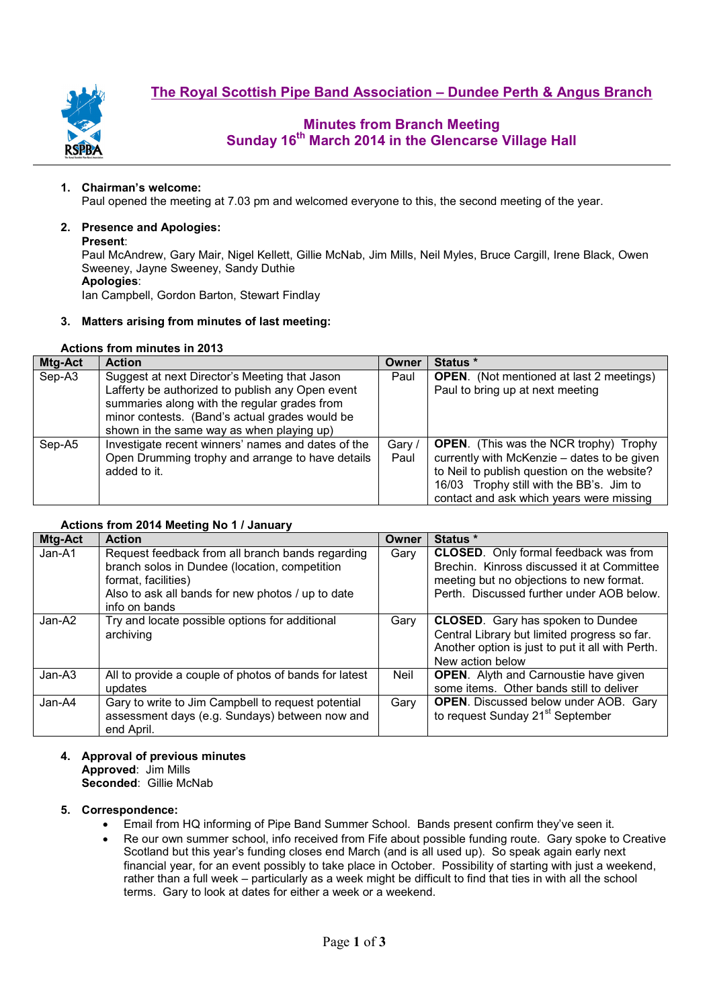



# **Minutes from Branch Meeting Sunday 16th March 2014 in the Glencarse Village Hall**

### **1. Chairman's welcome:**

Paul opened the meeting at 7.03 pm and welcomed everyone to this, the second meeting of the year.

### **2. Presence and Apologies:**

#### **Present**:

Paul McAndrew, Gary Mair, Nigel Kellett, Gillie McNab, Jim Mills, Neil Myles, Bruce Cargill, Irene Black, Owen Sweeney, Jayne Sweeney, Sandy Duthie **Apologies**:

Ian Campbell, Gordon Barton, Stewart Findlay

### **3. Matters arising from minutes of last meeting:**

## **Actions from minutes in 2013**

| <b>Mtg-Act</b> | <b>Action</b>                                      | Owner  | Status *                                        |  |  |  |
|----------------|----------------------------------------------------|--------|-------------------------------------------------|--|--|--|
| Sep-A3         | Suggest at next Director's Meeting that Jason      | Paul   | <b>OPEN.</b> (Not mentioned at last 2 meetings) |  |  |  |
|                | Lafferty be authorized to publish any Open event   |        | Paul to bring up at next meeting                |  |  |  |
|                | summaries along with the regular grades from       |        |                                                 |  |  |  |
|                | minor contests. (Band's actual grades would be     |        |                                                 |  |  |  |
|                | shown in the same way as when playing up)          |        |                                                 |  |  |  |
| Sep-A5         | Investigate recent winners' names and dates of the | Gary / | <b>OPEN.</b> (This was the NCR trophy) Trophy   |  |  |  |
|                | Open Drumming trophy and arrange to have details   | Paul   | currently with McKenzie – dates to be given     |  |  |  |
|                | added to it.                                       |        | to Neil to publish question on the website?     |  |  |  |
|                |                                                    |        | 16/03 Trophy still with the BB's. Jim to        |  |  |  |
|                |                                                    |        | contact and ask which years were missing        |  |  |  |

### **Actions from 2014 Meeting No 1 / January**

| Mtg-Act | <b>Action</b>                                                                                                                                                                                  | Owner | Status *                                                                                                                                                                            |  |  |  |
|---------|------------------------------------------------------------------------------------------------------------------------------------------------------------------------------------------------|-------|-------------------------------------------------------------------------------------------------------------------------------------------------------------------------------------|--|--|--|
| Jan-A1  | Request feedback from all branch bands regarding<br>branch solos in Dundee (location, competition<br>format, facilities)<br>Also to ask all bands for new photos / up to date<br>info on bands | Gary  | <b>CLOSED.</b> Only formal feedback was from<br>Brechin. Kinross discussed it at Committee<br>meeting but no objections to new format.<br>Perth. Discussed further under AOB below. |  |  |  |
| Jan-A2  | Try and locate possible options for additional<br>archiving                                                                                                                                    | Gary  | <b>CLOSED.</b> Gary has spoken to Dundee<br>Central Library but limited progress so far.<br>Another option is just to put it all with Perth.<br>New action below                    |  |  |  |
| Jan-A3  | All to provide a couple of photos of bands for latest<br>updates                                                                                                                               | Neil  | <b>OPEN.</b> Alyth and Carnoustie have given<br>some items. Other bands still to deliver                                                                                            |  |  |  |
| Jan-A4  | Gary to write to Jim Campbell to request potential<br>assessment days (e.g. Sundays) between now and<br>end April.                                                                             | Gary  | <b>OPEN.</b> Discussed below under AOB. Gary<br>to request Sunday 21 <sup>st</sup> September                                                                                        |  |  |  |

#### **4. Approval of previous minutes Approved**: Jim Mills **Seconded**: Gillie McNab

### **5. Correspondence:**

- Email from HQ informing of Pipe Band Summer School. Bands present confirm they've seen it.
- Re our own summer school, info received from Fife about possible funding route. Gary spoke to Creative Scotland but this year's funding closes end March (and is all used up). So speak again early next financial year, for an event possibly to take place in October. Possibility of starting with just a weekend, rather than a full week – particularly as a week might be difficult to find that ties in with all the school terms. Gary to look at dates for either a week or a weekend.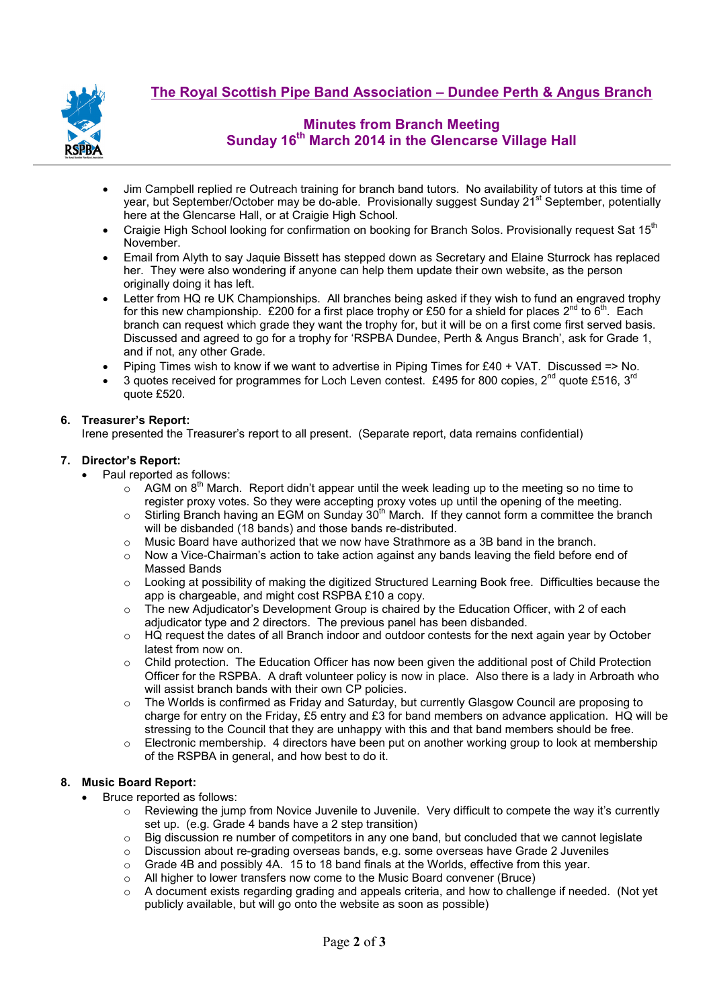

# **Minutes from Branch Meeting Sunday 16th March 2014 in the Glencarse Village Hall**

- Jim Campbell replied re Outreach training for branch band tutors. No availability of tutors at this time of year, but September/October may be do-able. Provisionally suggest Sunday 21<sup>st</sup> September, potentially here at the Glencarse Hall, or at Craigie High School.
- Craigie High School looking for confirmation on booking for Branch Solos. Provisionally request Sat 15<sup>th</sup> November.
- Email from Alyth to say Jaquie Bissett has stepped down as Secretary and Elaine Sturrock has replaced her. They were also wondering if anyone can help them update their own website, as the person originally doing it has left.
- Letter from HQ re UK Championships. All branches being asked if they wish to fund an engraved trophy for this new championship. £200 for a first place trophy or £50 for a shield for places  $2^{nd}$  to  $6^{th}$ . Each branch can request which grade they want the trophy for, but it will be on a first come first served basis. Discussed and agreed to go for a trophy for 'RSPBA Dundee, Perth & Angus Branch', ask for Grade 1, and if not, any other Grade.
- Piping Times wish to know if we want to advertise in Piping Times for  $£40 + VA$ . Discussed => No.
- 3 quotes received for programmes for Loch Leven contest. £495 for 800 copies,  $2^{nd}$  quote £516, 3<sup>rd</sup> quote £520.

### **6. Treasurer's Report:**

Irene presented the Treasurer's report to all present. (Separate report, data remains confidential)

### **7. Director's Report:**

- Paul reported as follows:
	- $\circ$  AGM on 8<sup>th</sup> March. Report didn't appear until the week leading up to the meeting so no time to register proxy votes. So they were accepting proxy votes up until the opening of the meeting.
	- $\circ$  Stirling Branch having an EGM on Sunday 30<sup>th</sup> March. If they cannot form a committee the branch will be disbanded (18 bands) and those bands re-distributed.
	- $\circ$  Music Board have authorized that we now have Strathmore as a 3B band in the branch.
	- $\circ$  Now a Vice-Chairman's action to take action against any bands leaving the field before end of Massed Bands
	- o Looking at possibility of making the digitized Structured Learning Book free. Difficulties because the app is chargeable, and might cost RSPBA £10 a copy.
	- $\circ$  The new Adjudicator's Development Group is chaired by the Education Officer, with 2 of each adjudicator type and 2 directors. The previous panel has been disbanded.
	- o HQ request the dates of all Branch indoor and outdoor contests for the next again year by October latest from now on.
	- $\circ$  Child protection. The Education Officer has now been given the additional post of Child Protection Officer for the RSPBA. A draft volunteer policy is now in place. Also there is a lady in Arbroath who will assist branch bands with their own CP policies.
	- $\circ$  The Worlds is confirmed as Friday and Saturday, but currently Glasgow Council are proposing to charge for entry on the Friday,  $£5$  entry and  $£3$  for band members on advance application. HQ will be stressing to the Council that they are unhappy with this and that band members should be free.
	- $\circ$  Electronic membership. 4 directors have been put on another working group to look at membership of the RSPBA in general, and how best to do it.

### **8. Music Board Report:**

- Bruce reported as follows:
	- $\circ$  Reviewing the jump from Novice Juvenile to Juvenile. Very difficult to compete the way it's currently set up. (e.g. Grade 4 bands have a 2 step transition)
	- $\circ$  Big discussion re number of competitors in any one band, but concluded that we cannot legislate
	- o Discussion about re-grading overseas bands, e.g. some overseas have Grade 2 Juveniles
	- $\circ$  Grade 4B and possibly 4A. 15 to 18 band finals at the Worlds, effective from this year.
	- o All higher to lower transfers now come to the Music Board convener (Bruce)
	- $\circ$  A document exists regarding grading and appeals criteria, and how to challenge if needed. (Not yet publicly available, but will go onto the website as soon as possible)